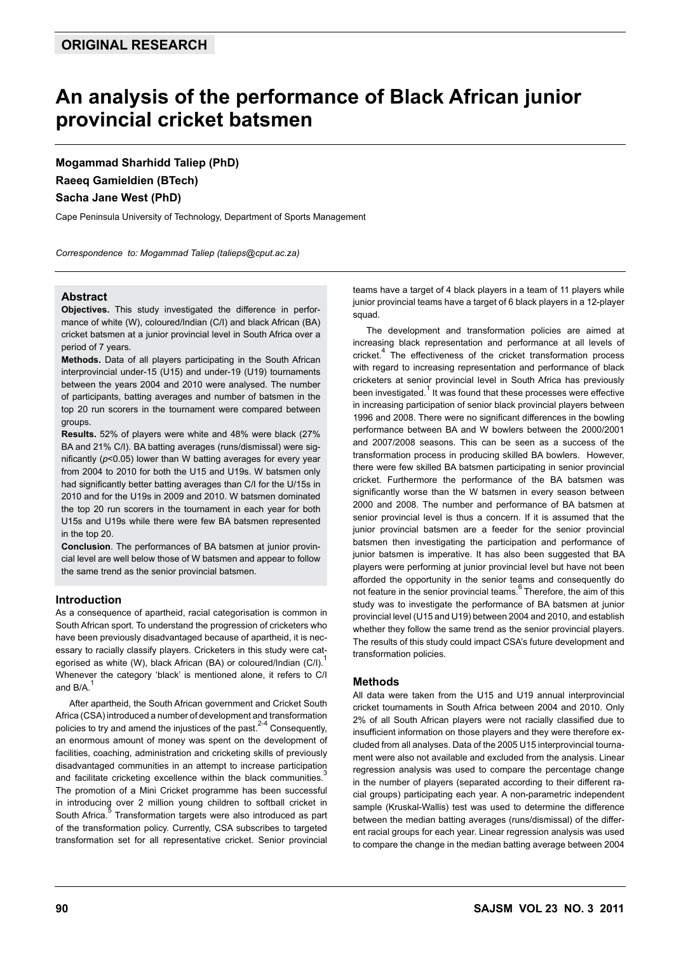# **An analysis of the performance of Black African junior provincial cricket batsmen**

**Mogammad Sharhidd Taliep (PhD) Raeeq Gamieldien (BTech) Sacha Jane West (PhD)**

Cape Peninsula University of Technology, Department of Sports Management

*Correspondence to: Mogammad Taliep (talieps@cput.ac.za)*

# **Abstract**

**Objectives.** This study investigated the difference in performance of white (W), coloured/Indian (C/I) and black African (BA) cricket batsmen at a junior provincial level in South Africa over a period of 7 years.

**Methods.** Data of all players participating in the South African interprovincial under-15 (U15) and under-19 (U19) tournaments between the years 2004 and 2010 were analysed. The number of participants, batting averages and number of batsmen in the top 20 run scorers in the tournament were compared between groups.

**Results.** 52% of players were white and 48% were black (27% BA and 21% C/I). BA batting averages (runs/dismissal) were significantly (*p*<0.05) lower than W batting averages for every year from 2004 to 2010 for both the U15 and U19s. W batsmen only had significantly better batting averages than C/I for the U/15s in 2010 and for the U19s in 2009 and 2010. W batsmen dominated the top 20 run scorers in the tournament in each year for both U15s and U19s while there were few BA batsmen represented in the top 20.

**Conclusion**. The performances of BA batsmen at junior provincial level are well below those of W batsmen and appear to follow the same trend as the senior provincial batsmen.

# **Introduction**

As a consequence of apartheid, racial categorisation is common in South African sport. To understand the progression of cricketers who have been previously disadvantaged because of apartheid, it is necessary to racially classify players. Cricketers in this study were categorised as white (W), black African (BA) or coloured/Indian (C/I). Whenever the category 'black' is mentioned alone, it refers to C/I and B/A.

After apartheid, the South African government and Cricket South Africa (CSA) introduced a number of development and transformation policies to try and amend the injustices of the past.<sup>2-4</sup> Consequently, an enormous amount of money was spent on the development of facilities, coaching, administration and cricketing skills of previously disadvantaged communities in an attempt to increase participation and facilitate cricketing excellence within the black communities.<sup>5</sup> The promotion of a Mini Cricket programme has been successful in introducing over 2 million young children to softball cricket in South Africa.<sup>5</sup> Transformation targets were also introduced as part of the transformation policy. Currently, CSA subscribes to targeted transformation set for all representative cricket. Senior provincial

teams have a target of 4 black players in a team of 11 players while junior provincial teams have a target of 6 black players in a 12-player squad.

The development and transformation policies are aimed at increasing black representation and performance at all levels of cricket.4 The effectiveness of the cricket transformation process with regard to increasing representation and performance of black cricketers at senior provincial level in South Africa has previously been investigated.<sup>1</sup> It was found that these processes were effective in increasing participation of senior black provincial players between 1996 and 2008. There were no significant differences in the bowling performance between BA and W bowlers between the 2000/2001 and 2007/2008 seasons. This can be seen as a success of the transformation process in producing skilled BA bowlers. However, there were few skilled BA batsmen participating in senior provincial cricket. Furthermore the performance of the BA batsmen was significantly worse than the W batsmen in every season between 2000 and 2008. The number and performance of BA batsmen at senior provincial level is thus a concern. If it is assumed that the junior provincial batsmen are a feeder for the senior provincial batsmen then investigating the participation and performance of junior batsmen is imperative. It has also been suggested that BA players were performing at junior provincial level but have not been afforded the opportunity in the senior teams and consequently do not feature in the senior provincial teams.<sup>6</sup> Therefore, the aim of this study was to investigate the performance of BA batsmen at junior provincial level (U15 and U19) between 2004 and 2010, and establish whether they follow the same trend as the senior provincial players. The results of this study could impact CSA's future development and transformation policies.

# **Methods**

All data were taken from the U15 and U19 annual interprovincial cricket tournaments in South Africa between 2004 and 2010. Only 2% of all South African players were not racially classified due to insufficient information on those players and they were therefore excluded from all analyses. Data of the 2005 U15 interprovincial tournament were also not available and excluded from the analysis. Linear regression analysis was used to compare the percentage change in the number of players (separated according to their different racial groups) participating each year. A non-parametric independent sample (Kruskal-Wallis) test was used to determine the difference between the median batting averages (runs/dismissal) of the different racial groups for each year. Linear regression analysis was used to compare the change in the median batting average between 2004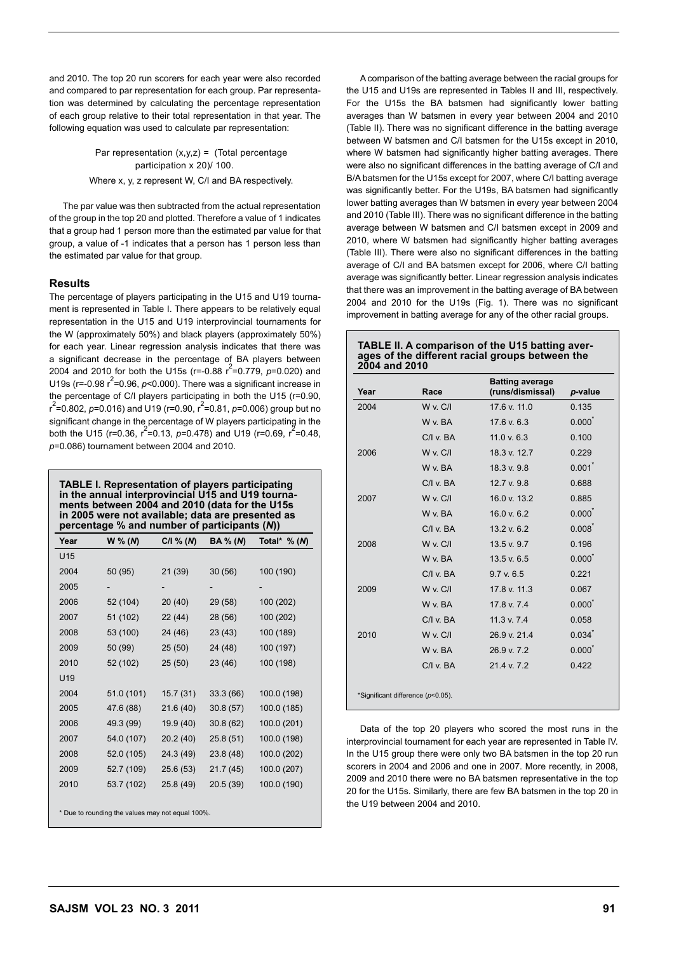and 2010. The top 20 run scorers for each year were also recorded and compared to par representation for each group. Par representation was determined by calculating the percentage representation of each group relative to their total representation in that year. The following equation was used to calculate par representation:

> Par representation  $(x,y,z) =$  (Total percentage participation x 20)/ 100.

Where x, y, z represent W, C/I and BA respectively.

The par value was then subtracted from the actual representation of the group in the top 20 and plotted. Therefore a value of 1 indicates that a group had 1 person more than the estimated par value for that group, a value of -1 indicates that a person has 1 person less than the estimated par value for that group.

# **Results**

The percentage of players participating in the U15 and U19 tournament is represented in Table I. There appears to be relatively equal representation in the U15 and U19 interprovincial tournaments for the W (approximately 50%) and black players (approximately 50%) for each year. Linear regression analysis indicates that there was a significant decrease in the percentage of BA players between 2004 and 2010 for both the U15s (r=-0.88  $r^2$ =0.779,  $p$ =0.020) and U19s ( $r = -0.98$   $r^2 = 0.96$ ,  $p < 0.000$ ). There was a significant increase in the percentage of C/I players participating in both the U15 (r=0.90, r<sup>2</sup>=0.802, *p*=0.016) and U19 (r=0.90, r<sup>2</sup>=0.81, *p*=0.006) group but no significant change in the percentage of W players participating in the both the U15 (r=0.36,  $r^2$ =0.13, p=0.478) and U19 (r=0.69,  $r^2$ =0.48, *p*=0.086) tournament between 2004 and 2010.

**TABLE I. Representation of players participating in the annual interprovincial U15 and U19 tournaments between 2004 and 2010 (data for the U15s in 2005 were not available; data are presented as percentage % and number of participants (***N***))**

| Year | $W \% (N)$                                       | $C/I \% (N)$ | <b>BA</b> % ( <i>N</i> ) | Total* $\%$ (N) |
|------|--------------------------------------------------|--------------|--------------------------|-----------------|
| U15  |                                                  |              |                          |                 |
| 2004 | 50 (95)                                          | 21 (39)      | 30(56)                   | 100 (190)       |
| 2005 |                                                  |              |                          |                 |
| 2006 | 52 (104)                                         | 20 (40)      | 29 (58)                  | 100 (202)       |
| 2007 | 51 (102)                                         | 22 (44)      | 28 (56)                  | 100 (202)       |
| 2008 | 53 (100)                                         | 24 (46)      | 23 (43)                  | 100 (189)       |
| 2009 | 50 (99)                                          | 25 (50)      | 24 (48)                  | 100 (197)       |
| 2010 | 52 (102)                                         | 25(50)       | 23 (46)                  | 100 (198)       |
| U19  |                                                  |              |                          |                 |
| 2004 | 51.0 (101)                                       | 15.7 (31)    | 33.3 (66)                | 100.0 (198)     |
| 2005 | 47.6 (88)                                        | 21.6(40)     | 30.8(57)                 | 100.0 (185)     |
| 2006 | 49.3 (99)                                        | 19.9 (40)    | 30.8(62)                 | 100.0 (201)     |
| 2007 | 54.0 (107)                                       | 20.2 (40)    | 25.8 (51)                | 100.0 (198)     |
| 2008 | 52.0 (105)                                       | 24.3 (49)    | 23.8 (48)                | 100.0 (202)     |
| 2009 | 52.7 (109)                                       | 25.6 (53)    | 21.7 (45)                | 100.0 (207)     |
| 2010 | 53.7 (102)                                       | 25.8 (49)    | 20.5 (39)                | 100.0 (190)     |
|      |                                                  |              |                          |                 |
|      | * Due to rounding the values may not equal 100%. |              |                          |                 |

A comparison of the batting average between the racial groups for the U15 and U19s are represented in Tables II and III, respectively. For the U15s the BA batsmen had significantly lower batting averages than W batsmen in every year between 2004 and 2010 (Table II). There was no significant difference in the batting average between W batsmen and C/I batsmen for the U15s except in 2010, where W batsmen had significantly higher batting averages. There were also no significant differences in the batting average of C/I and B/A batsmen for the U15s except for 2007, where C/I batting average was significantly better. For the U19s, BA batsmen had significantly lower batting averages than W batsmen in every year between 2004 and 2010 (Table III). There was no significant difference in the batting average between W batsmen and C/I batsmen except in 2009 and 2010, where W batsmen had significantly higher batting averages (Table III). There were also no significant differences in the batting average of C/I and BA batsmen except for 2006, where C/I batting average was significantly better. Linear regression analysis indicates that there was an improvement in the batting average of BA between 2004 and 2010 for the U19s (Fig. 1). There was no significant

# **TABLE II. A comparison of the U15 batting averages of the different racial groups between the 2004 and 2010**

improvement in batting average for any of the other racial groups.

| Year | Race                              | <b>Batting average</b><br>(runs/dismissal) | p-value              |
|------|-----------------------------------|--------------------------------------------|----------------------|
| 2004 | <b>W</b> v. C/I                   | 176v110                                    | 0.135                |
|      | W v. BA                           | $17.6$ v. $6.3$                            | $0.000^*$            |
|      | $C/I$ v. $BA$                     | 11.0 v. 6.3                                | 0.100                |
| 2006 | <b>W</b> v. C/I                   | 18.3 v. 12.7                               | 0.229                |
|      | W v. BA                           | 18.3 v. 9.8                                | $0.001$ <sup>*</sup> |
|      | $C/I$ v. $BA$                     | 12.7 v. 9.8                                | 0.688                |
| 2007 | <b>W</b> v. C/I                   | 16.0 v. 13.2                               | 0.885                |
|      | W v. BA                           | 16.0 v. 6.2                                | $0.000^*$            |
|      | $C/I$ v $BA$                      | 13.2 v. 6.2                                | $0.008^*$            |
| 2008 | W v. C/I                          | 13.5 v. 9.7                                | 0.196                |
|      | W v RA                            | 13.5 v. 6.5                                | $0.000^*$            |
|      | $C/I$ v. $BA$                     | 9.7 v. 6.5                                 | 0.221                |
| 2009 | W v. C/I                          | 17.8 v. 11.3                               | 0.067                |
|      | W v. BA                           | 17.8 v. 7.4                                | $0.000^*$            |
|      | $C/I$ v. $BA$                     | $11.3$ v. $7.4$                            | 0.058                |
| 2010 | W v. C/I                          | 26.9 v. 21.4                               | 0.034                |
|      | W v. BA                           | 26.9 v. 7.2                                | $0.000^*$            |
|      | $C/I$ v. $BA$                     | 214v72                                     | 0.422                |
|      | *Significant difference (p<0.05). |                                            |                      |

Data of the top 20 players who scored the most runs in the interprovincial tournament for each year are represented in Table IV. In the U15 group there were only two BA batsmen in the top 20 run scorers in 2004 and 2006 and one in 2007. More recently, in 2008, 2009 and 2010 there were no BA batsmen representative in the top 20 for the U15s. Similarly, there are few BA batsmen in the top 20 in the U19 between 2004 and 2010.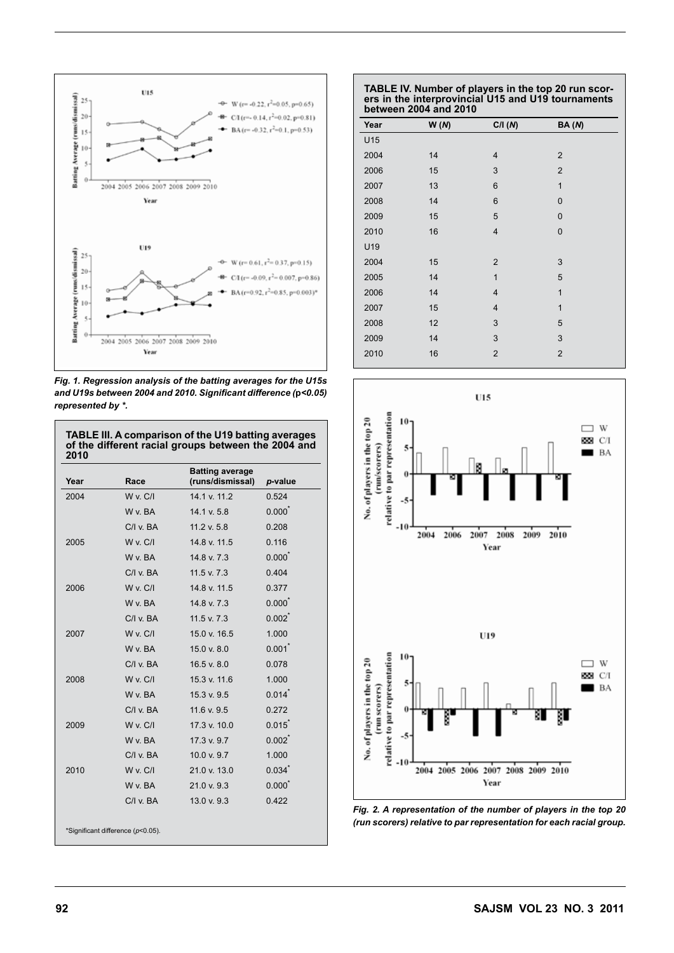

*Fig. 1. Regression analysis of the batting averages for the U15s and U19s between 2004 and 2010. Significant difference (***p***<0.05) represented by \*.*

| Year | Race            | <b>Batting average</b><br>(runs/dismissal) | p-value              |
|------|-----------------|--------------------------------------------|----------------------|
| 2004 | $W \vee C/I$    | 14 1 v 11 2                                | 0.524                |
|      | W v. BA         | 14.1 v. 5.8                                | $0.000^*$            |
|      | $C/I$ v. $BA$   | 11.2 v. 5.8                                | 0.208                |
| 2005 | W v. C/I        | 14.8 v. 11.5                               | 0.116                |
|      | W v. BA         | 14.8 v. 7.3                                | $0.000^*$            |
|      | $C/I$ v. $BA$   | $11.5$ v. $7.3$                            | 0.404                |
| 2006 | W v. C/I        | 14.8 v. 11.5                               | 0.377                |
|      | W v. BA         | 14.8 v. 7.3                                | $0.000^*$            |
|      | $C/I$ v. $BA$   | $11.5$ v. $7.3$                            | $0.002$ <sup>*</sup> |
| 2007 | W v. C/I        | 15.0 v. 16.5                               | 1.000                |
|      | W v. BA         | 15.0 v. 8.0                                | 0.001                |
|      | $C/I$ v. $BA$   | 16.5 v. 8.0                                | 0.078                |
| 2008 | W v. C/I        | 15.3 v. 11.6                               | 1.000                |
|      | W v. BA         | 15.3 v. 9.5                                | 0.014                |
|      | $C/I$ v. $BA$   | $11.6$ v. 9.5                              | 0.272                |
| 2009 | W v. C/I        | 17.3 v. 10.0                               | $0.015$ <sup>*</sup> |
|      | W v. BA         | 17.3 v. 9.7                                | $0.002^*$            |
|      | $C/I$ v. $BA$   | 10.0 v. 9.7                                | 1.000                |
| 2010 | <b>W</b> v. C/I | 21.0 v. 13.0                               | 0.034                |
|      | W v. BA         | 21.0 v. 9.3                                | $0.000^*$            |
|      | $C/I$ v. $BA$   | 13.0 v. 9.3                                | 0.422                |

### **TABLE IV. Number of players in the top 20 run scorers in the interprovincial U15 and U19 tournaments between 2004 and 2010**

|      | - -  |                         |                         |  |
|------|------|-------------------------|-------------------------|--|
| Year | W(M) | C/I(N)                  | <b>BA</b> ( <i>N</i> )  |  |
| U15  |      |                         |                         |  |
| 2004 | 14   | 4                       | $\overline{2}$          |  |
| 2006 | 15   | 3                       | $\overline{2}$          |  |
| 2007 | 13   | $\,6$                   | $\mathbf{1}$            |  |
| 2008 | 14   | $\,6$                   | 0                       |  |
| 2009 | 15   | 5                       | 0                       |  |
| 2010 | 16   | $\overline{4}$          | 0                       |  |
| U19  |      |                         |                         |  |
| 2004 | 15   | $\overline{2}$          | 3                       |  |
| 2005 | 14   | $\mathbf{1}$            | 5                       |  |
| 2006 | 14   | 4                       | $\mathbf{1}$            |  |
| 2007 | 15   | $\overline{\mathbf{4}}$ | 1                       |  |
| 2008 | 12   | 3                       | 5                       |  |
| 2009 | 14   | 3                       | 3                       |  |
| 2010 | 16   | $\mathbf 2$             | $\overline{\mathbf{c}}$ |  |
|      |      |                         |                         |  |



*Fig. 2. A representation of the number of players in the top 20 (run scorers) relative to par representation for each racial group.*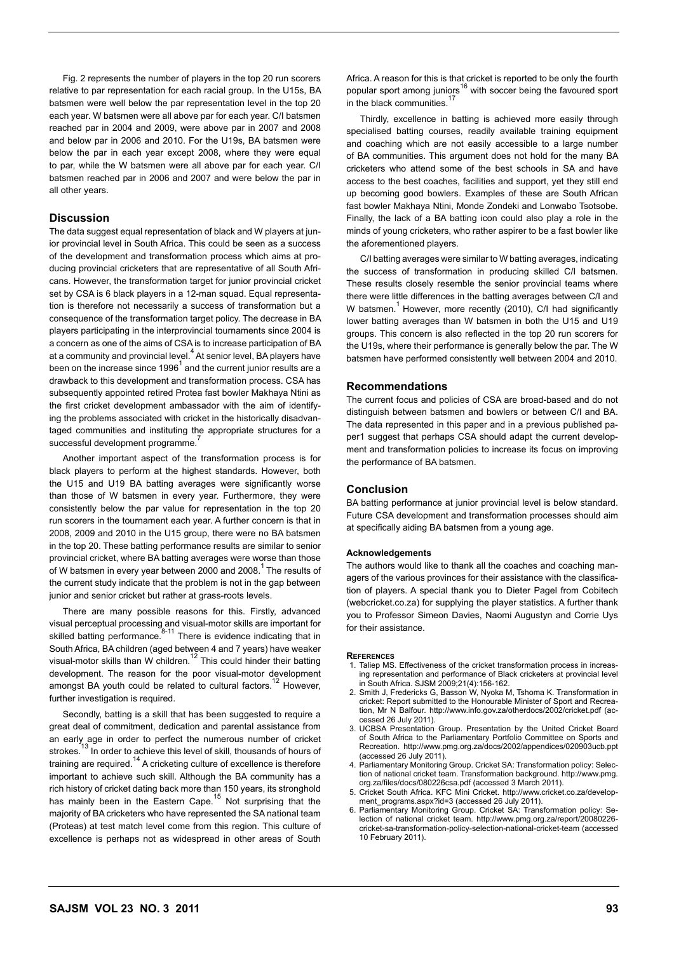Fig. 2 represents the number of players in the top 20 run scorers relative to par representation for each racial group. In the U15s, BA batsmen were well below the par representation level in the top 20 each year. W batsmen were all above par for each year. C/I batsmen reached par in 2004 and 2009, were above par in 2007 and 2008 and below par in 2006 and 2010. For the U19s, BA batsmen were below the par in each year except 2008, where they were equal to par, while the W batsmen were all above par for each year. C/I batsmen reached par in 2006 and 2007 and were below the par in all other years.

# **Discussion**

The data suggest equal representation of black and W players at junior provincial level in South Africa. This could be seen as a success of the development and transformation process which aims at producing provincial cricketers that are representative of all South Africans. However, the transformation target for junior provincial cricket set by CSA is 6 black players in a 12-man squad. Equal representation is therefore not necessarily a success of transformation but a consequence of the transformation target policy. The decrease in BA players participating in the interprovincial tournaments since 2004 is a concern as one of the aims of CSA is to increase participation of BA at a community and provincial level.<sup>4</sup> At senior level, BA players have been on the increase since 1996<sup>1</sup> and the current junior results are a drawback to this development and transformation process. CSA has subsequently appointed retired Protea fast bowler Makhaya Ntini as the first cricket development ambassador with the aim of identifying the problems associated with cricket in the historically disadvantaged communities and instituting the appropriate structures for a successful development programme.

Another important aspect of the transformation process is for black players to perform at the highest standards. However, both the U15 and U19 BA batting averages were significantly worse than those of W batsmen in every year. Furthermore, they were consistently below the par value for representation in the top 20 run scorers in the tournament each year. A further concern is that in 2008, 2009 and 2010 in the U15 group, there were no BA batsmen in the top 20. These batting performance results are similar to senior provincial cricket, where BA batting averages were worse than those of W batsmen in every year between 2000 and 2008.<sup>1</sup> The results of the current study indicate that the problem is not in the gap between junior and senior cricket but rather at grass-roots levels.

There are many possible reasons for this. Firstly, advanced visual perceptual processing and visual-motor skills are important for<br>skilled batting performance.<sup>8-11</sup> There is evidence indicating that in South Africa, BA children (aged between 4 and 7 years) have weaker visual-motor skills than W children.<sup>12</sup> This could hinder their batting development. The reason for the poor visual-motor development amongst BA youth could be related to cultural factors.<sup>12</sup> However, further investigation is required.

Secondly, batting is a skill that has been suggested to require a great deal of commitment, dedication and parental assistance from an early age in order to perfect the numerous number of cricket strokes.<sup>13</sup> In order to achieve this level of skill, thousands of hours of training are required.<sup>14</sup> A cricketing culture of excellence is therefore important to achieve such skill. Although the BA community has a rich history of cricket dating back more than 150 years, its stronghold has mainly been in the Eastern Cape.<sup>15</sup> Not surprising that the majority of BA cricketers who have represented the SA national team (Proteas) at test match level come from this region. This culture of excellence is perhaps not as widespread in other areas of South

Africa. A reason for this is that cricket is reported to be only the fourth popular sport among juniors<sup>16</sup> with soccer being the favoured sport in the black communities.

Thirdly, excellence in batting is achieved more easily through specialised batting courses, readily available training equipment and coaching which are not easily accessible to a large number of BA communities. This argument does not hold for the many BA cricketers who attend some of the best schools in SA and have access to the best coaches, facilities and support, yet they still end up becoming good bowlers. Examples of these are South African fast bowler Makhaya Ntini, Monde Zondeki and Lonwabo Tsotsobe. Finally, the lack of a BA batting icon could also play a role in the minds of young cricketers, who rather aspirer to be a fast bowler like the aforementioned players.

C/I batting averages were similar to W batting averages, indicating the success of transformation in producing skilled C/I batsmen. These results closely resemble the senior provincial teams where there were little differences in the batting averages between C/I and W batsmen.<sup>1</sup> However, more recently (2010), C/I had significantly lower batting averages than W batsmen in both the U15 and U19 groups. This concern is also reflected in the top 20 run scorers for the U19s, where their performance is generally below the par. The W batsmen have performed consistently well between 2004 and 2010.

#### **Recommendations**

The current focus and policies of CSA are broad-based and do not distinguish between batsmen and bowlers or between C/I and BA. The data represented in this paper and in a previous published paper1 suggest that perhaps CSA should adapt the current development and transformation policies to increase its focus on improving the performance of BA batsmen.

### **Conclusion**

BA batting performance at junior provincial level is below standard. Future CSA development and transformation processes should aim at specifically aiding BA batsmen from a young age.

#### **Acknowledgements**

The authors would like to thank all the coaches and coaching managers of the various provinces for their assistance with the classification of players. A special thank you to Dieter Pagel from Cobitech (webcricket.co.za) for supplying the player statistics. A further thank you to Professor Simeon Davies, Naomi Augustyn and Corrie Uys for their assistance.

#### **References**

- 1. Taliep MS. Effectiveness of the cricket transformation process in increasing representation and performance of Black cricketers at provincial level in South Africa. SJSM 2009;21(4):156-162.
- 2. Smith J, Fredericks G, Basson W, Nyoka M, Tshoma K. Transformation in cricket: Report submitted to the Honourable Minister of Sport and Recreation, Mr N Balfour. http://www.info.gov.za/otherdocs/2002/cricket.pdf (accessed 26 July 2011).
- 3. UCBSA Presentation Group. Presentation by the United Cricket Board of South Africa to the Parliamentary Portfolio Committee on Sports and Recreation. http://www.pmg.org.za/docs/2002/appendices/020903ucb.ppt (accessed 26 July 2011).
- 4. Parliamentary Monitoring Group. Cricket SA: Transformation policy: Selection of national cricket team. Transformation background. http://www.pmg. org.za/files/docs/080226csa.pdf (accessed 3 March 2011).
- 5. Cricket South Africa. KFC Mini Cricket. http://www.cricket.co.za/development\_programs.aspx?id=3 (accessed 26 July 2011).
- 6. Parliamentary Monitoring Group. Cricket SA: Transformation policy: Selection of national cricket team. http://www.pmg.org.za/report/20080226 cricket-sa-transformation-policy-selection-national-cricket-team (accessed 10 February 2011).